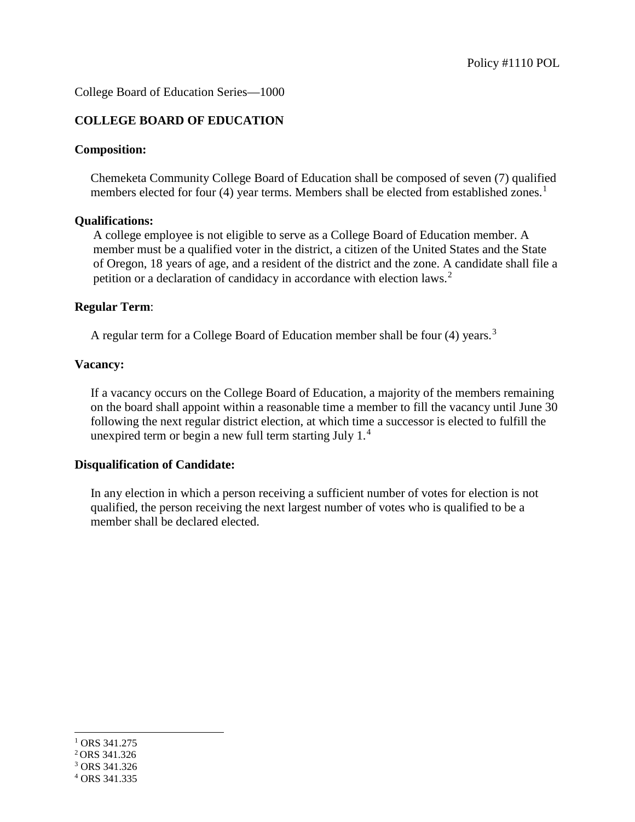College Board of Education Series—1000

## **COLLEGE BOARD OF EDUCATION**

#### **Composition:**

Chemeketa Community College Board of Education shall be composed of seven (7) qualified members elected for four (4) year terms. Members shall be elected from established zones.<sup>[1](#page-0-0)</sup>

#### **Qualifications:**

A college employee is not eligible to serve as a College Board of Education member. A member must be a qualified voter in the district, a citizen of the United States and the State of Oregon, 18 years of age, and a resident of the district and the zone. A candidate shall file a petition or a declaration of candidacy in accordance with election laws.<sup>[2](#page-0-1)</sup>

#### **Regular Term**:

A regular term for a College Board of Education member shall be four (4) years.<sup>[3](#page-0-2)</sup>

#### **Vacancy:**

If a vacancy occurs on the College Board of Education, a majority of the members remaining on the board shall appoint within a reasonable time a member to fill the vacancy until June 30 following the next regular district election, at which time a successor is elected to fulfill the unexpired term or begin a new full term starting July 1.[4](#page-0-3)

## **Disqualification of Candidate:**

In any election in which a person receiving a sufficient number of votes for election is not qualified, the person receiving the next largest number of votes who is qualified to be a member shall be declared elected.

-

<span id="page-0-1"></span><span id="page-0-0"></span> $1$  ORS 341.275

<sup>2</sup> ORS 341.326

<span id="page-0-2"></span><sup>3</sup> ORS 341.326

<span id="page-0-3"></span><sup>4</sup> ORS 341.335